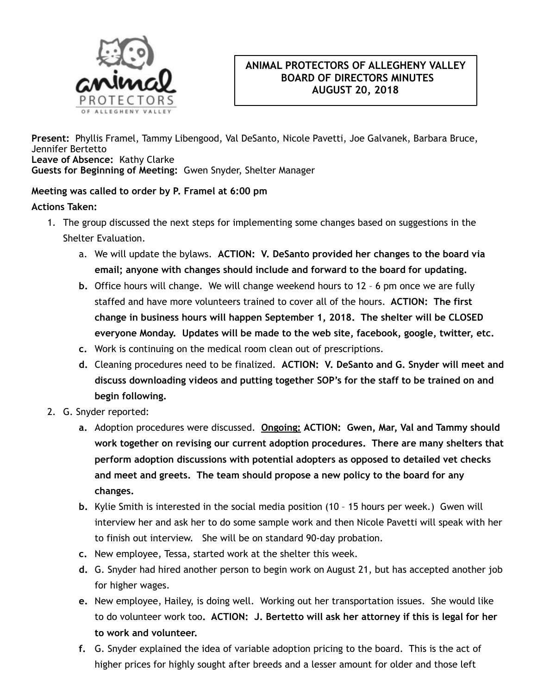

## **ANIMAL PROTECTORS OF ALLEGHENY VALLEY BOARD OF DIRECTORS MINUTES AUGUST 20, 2018**

**Present:** Phyllis Framel, Tammy Libengood, Val DeSanto, Nicole Pavetti, Joe Galvanek, Barbara Bruce, Jennifer Bertetto **Leave of Absence:** Kathy Clarke **Guests for Beginning of Meeting:** Gwen Snyder, Shelter Manager

## **Meeting was called to order by P. Framel at 6:00 pm**

## **Actions Taken:**

- 1. The group discussed the next steps for implementing some changes based on suggestions in the Shelter Evaluation.
	- a. We will update the bylaws. **ACTION: V. DeSanto provided her changes to the board via email; anyone with changes should include and forward to the board for updating.**
	- **b.** Office hours will change. We will change weekend hours to 12 6 pm once we are fully staffed and have more volunteers trained to cover all of the hours. **ACTION: The first change in business hours will happen September 1, 2018. The shelter will be CLOSED everyone Monday. Updates will be made to the web site, facebook, google, twitter, etc.**
	- **c.** Work is continuing on the medical room clean out of prescriptions.
	- **d.** Cleaning procedures need to be finalized. **ACTION: V. DeSanto and G. Snyder will meet and discuss downloading videos and putting together SOP's for the staff to be trained on and begin following.**
- 2. G. Snyder reported:
	- **a.** Adoption procedures were discussed. **Ongoing: ACTION: Gwen, Mar, Val and Tammy should work together on revising our current adoption procedures. There are many shelters that perform adoption discussions with potential adopters as opposed to detailed vet checks and meet and greets. The team should propose a new policy to the board for any changes.**
	- **b.** Kylie Smith is interested in the social media position (10 15 hours per week.) Gwen will interview her and ask her to do some sample work and then Nicole Pavetti will speak with her to finish out interview. She will be on standard 90-day probation.
	- **c.** New employee, Tessa, started work at the shelter this week.
	- **d.** G. Snyder had hired another person to begin work on August 21, but has accepted another job for higher wages.
	- **e.** New employee, Hailey, is doing well. Working out her transportation issues. She would like to do volunteer work too**. ACTION: J. Bertetto will ask her attorney if this is legal for her to work and volunteer.**
	- **f.** G. Snyder explained the idea of variable adoption pricing to the board. This is the act of higher prices for highly sought after breeds and a lesser amount for older and those left